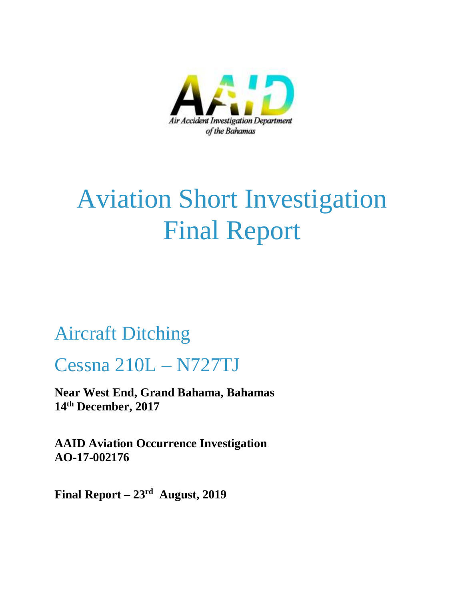

# Aviation Short Investigation Final Report

## Aircraft Ditching

## Cessna 210L – N727TJ

**Near West End, Grand Bahama, Bahamas 14th December, 2017**

**AAID Aviation Occurrence Investigation AO-17-002176**

**Final Report – 23rd August, 2019**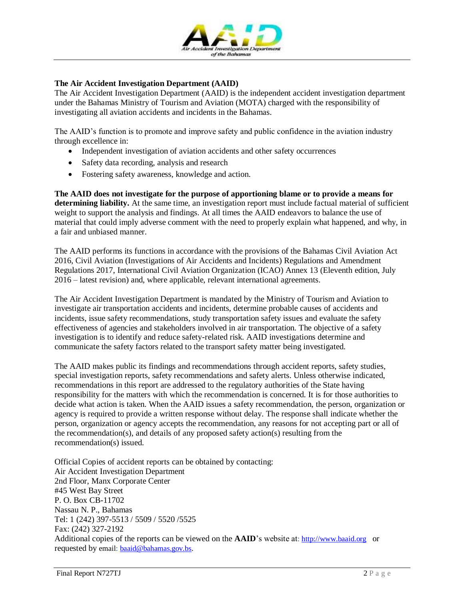

### **The Air Accident Investigation Department (AAID)**

The Air Accident Investigation Department (AAID) is the independent accident investigation department under the Bahamas Ministry of Tourism and Aviation (MOTA) charged with the responsibility of investigating all aviation accidents and incidents in the Bahamas.

The AAID's function is to promote and improve safety and public confidence in the aviation industry through excellence in:

- Independent investigation of aviation accidents and other safety occurrences
- Safety data recording, analysis and research
- Fostering safety awareness, knowledge and action.

**The AAID does not investigate for the purpose of apportioning blame or to provide a means for determining liability.** At the same time, an investigation report must include factual material of sufficient weight to support the analysis and findings. At all times the AAID endeavors to balance the use of material that could imply adverse comment with the need to properly explain what happened, and why, in a fair and unbiased manner.

The AAID performs its functions in accordance with the provisions of the Bahamas Civil Aviation Act 2016, Civil Aviation (Investigations of Air Accidents and Incidents) Regulations and Amendment Regulations 2017, International Civil Aviation Organization (ICAO) Annex 13 (Eleventh edition, July 2016 – latest revision) and, where applicable, relevant international agreements.

The Air Accident Investigation Department is mandated by the Ministry of Tourism and Aviation to investigate air transportation accidents and incidents, determine probable causes of accidents and incidents, issue safety recommendations, study transportation safety issues and evaluate the safety effectiveness of agencies and stakeholders involved in air transportation. The objective of a safety investigation is to identify and reduce safety-related risk. AAID investigations determine and communicate the safety factors related to the transport safety matter being investigated.

The AAID makes public its findings and recommendations through accident reports, safety studies, special investigation reports, safety recommendations and safety alerts. Unless otherwise indicated, recommendations in this report are addressed to the regulatory authorities of the State having responsibility for the matters with which the recommendation is concerned. It is for those authorities to decide what action is taken. When the AAID issues a safety recommendation, the person, organization or agency is required to provide a written response without delay. The response shall indicate whether the person, organization or agency accepts the recommendation, any reasons for not accepting part or all of the recommendation(s), and details of any proposed safety action(s) resulting from the recommendation(s) issued.

Official Copies of accident reports can be obtained by contacting: Air Accident Investigation Department 2nd Floor, Manx Corporate Center #45 West Bay Street P. O. Box CB-11702 Nassau N. P., Bahamas Tel: 1 (242) 397-5513 / 5509 / 5520 /5525 Fax: (242) 327-2192 Additional copies of the reports can be viewed on the **AAID**'s website at: [http://www.baaid.org](http://www.baaid.org/) or requested by email: [baaid@bahamas.gov.bs.](mailto:baaid@bahamas.gov.bs)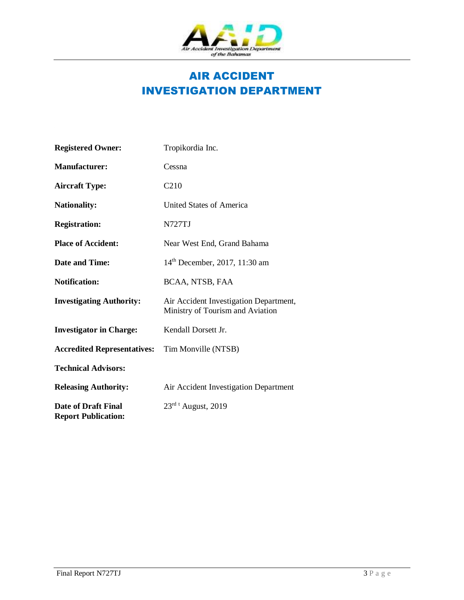

### AIR ACCIDENT INVESTIGATION DEPARTMENT

| <b>Registered Owner:</b>                                 | Tropikordia Inc.                                                           |
|----------------------------------------------------------|----------------------------------------------------------------------------|
| <b>Manufacturer:</b>                                     | Cessna                                                                     |
| <b>Aircraft Type:</b>                                    | C <sub>210</sub>                                                           |
| <b>Nationality:</b>                                      | United States of America                                                   |
| <b>Registration:</b>                                     | N727TJ                                                                     |
| <b>Place of Accident:</b>                                | Near West End, Grand Bahama                                                |
| <b>Date and Time:</b>                                    | 14 <sup>th</sup> December, 2017, 11:30 am                                  |
| <b>Notification:</b>                                     | BCAA, NTSB, FAA                                                            |
| <b>Investigating Authority:</b>                          | Air Accident Investigation Department,<br>Ministry of Tourism and Aviation |
| <b>Investigator in Charge:</b>                           | Kendall Dorsett Jr.                                                        |
| <b>Accredited Representatives:</b>                       | Tim Monville (NTSB)                                                        |
| <b>Technical Advisors:</b>                               |                                                                            |
| <b>Releasing Authority:</b>                              | Air Accident Investigation Department                                      |
| <b>Date of Draft Final</b><br><b>Report Publication:</b> | $23^{rd}$ <sup>t</sup> August, 2019                                        |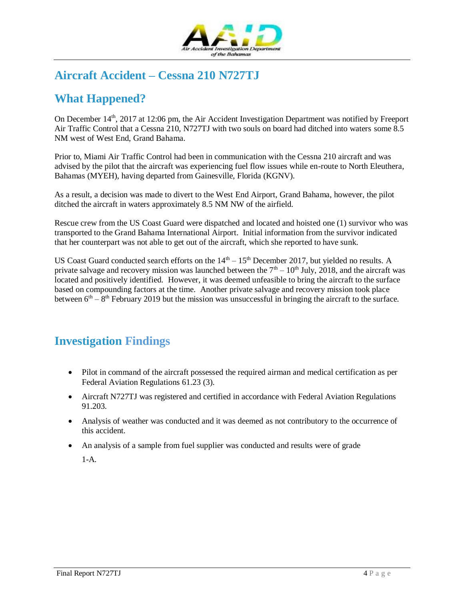

### **Aircraft Accident – Cessna 210 N727TJ**

### **What Happened?**

On December  $14<sup>th</sup>$ , 2017 at 12:06 pm, the Air Accident Investigation Department was notified by Freeport Air Traffic Control that a Cessna 210, N727TJ with two souls on board had ditched into waters some 8.5 NM west of West End, Grand Bahama.

Prior to, Miami Air Traffic Control had been in communication with the Cessna 210 aircraft and was advised by the pilot that the aircraft was experiencing fuel flow issues while en-route to North Eleuthera, Bahamas (MYEH), having departed from Gainesville, Florida (KGNV).

As a result, a decision was made to divert to the West End Airport, Grand Bahama, however, the pilot ditched the aircraft in waters approximately 8.5 NM NW of the airfield.

Rescue crew from the US Coast Guard were dispatched and located and hoisted one (1) survivor who was transported to the Grand Bahama International Airport. Initial information from the survivor indicated that her counterpart was not able to get out of the aircraft, which she reported to have sunk.

US Coast Guard conducted search efforts on the  $14<sup>th</sup> - 15<sup>th</sup>$  December 2017, but yielded no results. A private salvage and recovery mission was launched between the  $7<sup>th</sup> - 10<sup>th</sup>$  July, 2018, and the aircraft was located and positively identified. However, it was deemed unfeasible to bring the aircraft to the surface based on compounding factors at the time. Another private salvage and recovery mission took place between  $6<sup>th</sup> - 8<sup>th</sup>$  February 2019 but the mission was unsuccessful in bringing the aircraft to the surface.

### **Investigation Findings**

- Pilot in command of the aircraft possessed the required airman and medical certification as per Federal Aviation Regulations 61.23 (3).
- Aircraft N727TJ was registered and certified in accordance with Federal Aviation Regulations 91.203.
- Analysis of weather was conducted and it was deemed as not contributory to the occurrence of this accident.
- An analysis of a sample from fuel supplier was conducted and results were of grade

1-A.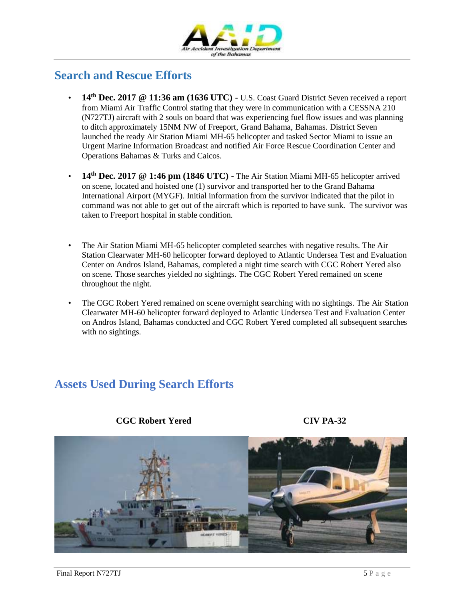

### **Search and Rescue Efforts**

- **14th Dec. 2017 @ 11:36 am (1636 UTC)** U.S. Coast Guard District Seven received a report from Miami Air Traffic Control stating that they were in communication with a CESSNA 210 (N727TJ) aircraft with 2 souls on board that was experiencing fuel flow issues and was planning to ditch approximately 15NM NW of Freeport, Grand Bahama, Bahamas. District Seven launched the ready Air Station Miami MH-65 helicopter and tasked Sector Miami to issue an Urgent Marine Information Broadcast and notified Air Force Rescue Coordination Center and Operations Bahamas & Turks and Caicos.
- **14th Dec. 2017 @ 1:46 pm (1846 UTC)** The Air Station Miami MH-65 helicopter arrived on scene, located and hoisted one (1) survivor and transported her to the Grand Bahama International Airport (MYGF). Initial information from the survivor indicated that the pilot in command was not able to get out of the aircraft which is reported to have sunk. The survivor was taken to Freeport hospital in stable condition.
- The Air Station Miami MH-65 helicopter completed searches with negative results. The Air Station Clearwater MH-60 helicopter forward deployed to Atlantic Undersea Test and Evaluation Center on Andros Island, Bahamas, completed a night time search with CGC Robert Yered also on scene. Those searches yielded no sightings. The CGC Robert Yered remained on scene throughout the night.
- The CGC Robert Yered remained on scene overnight searching with no sightings. The Air Station Clearwater MH-60 helicopter forward deployed to Atlantic Undersea Test and Evaluation Center on Andros Island, Bahamas conducted and CGC Robert Yered completed all subsequent searches with no sightings.

### **Assets Used During Search Efforts**



**CGC Robert Yered CIV PA-32**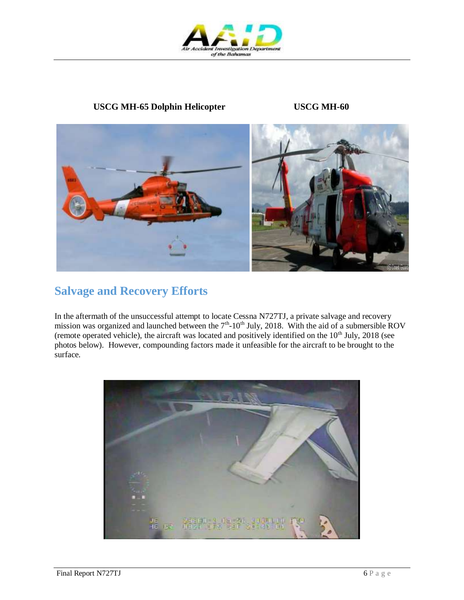

### **USCG MH-65 Dolphin Helicopter USCG MH-60**



### **Salvage and Recovery Efforts**

In the aftermath of the unsuccessful attempt to locate Cessna N727TJ, a private salvage and recovery mission was organized and launched between the  $7<sup>th</sup>$ -10<sup>th</sup> July, 2018. With the aid of a submersible ROV (remote operated vehicle), the aircraft was located and positively identified on the  $10<sup>th</sup>$  July, 2018 (see photos below). However, compounding factors made it unfeasible for the aircraft to be brought to the surface.

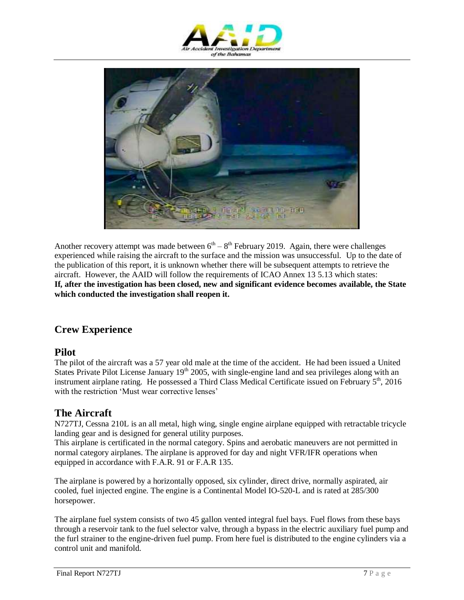



Another recovery attempt was made between  $6<sup>th</sup> - 8<sup>th</sup>$  February 2019. Again, there were challenges experienced while raising the aircraft to the surface and the mission was unsuccessful. Up to the date of the publication of this report, it is unknown whether there will be subsequent attempts to retrieve the aircraft. However, the AAID will follow the requirements of ICAO Annex 13 5.13 which states: **If, after the investigation has been closed, new and significant evidence becomes available, the State which conducted the investigation shall reopen it.**

### **Crew Experience**

### **Pilot**

The pilot of the aircraft was a 57 year old male at the time of the accident. He had been issued a United States Private Pilot License January 19<sup>th</sup> 2005, with single-engine land and sea privileges along with an instrument airplane rating. He possessed a Third Class Medical Certificate issued on February 5th, 2016 with the restriction 'Must wear corrective lenses'

### **The Aircraft**

N727TJ, Cessna 210L is an all metal, high wing, single engine airplane equipped with retractable tricycle landing gear and is designed for general utility purposes.

This airplane is certificated in the normal category. Spins and aerobatic maneuvers are not permitted in normal category airplanes. The airplane is approved for day and night VFR/IFR operations when equipped in accordance with F.A.R. 91 or F.A.R 135.

The airplane is powered by a horizontally opposed, six cylinder, direct drive, normally aspirated, air cooled, fuel injected engine. The engine is a Continental Model IO-520-L and is rated at 285/300 horsepower.

The airplane fuel system consists of two 45 gallon vented integral fuel bays. Fuel flows from these bays through a reservoir tank to the fuel selector valve, through a bypass in the electric auxiliary fuel pump and the furl strainer to the engine-driven fuel pump. From here fuel is distributed to the engine cylinders via a control unit and manifold.